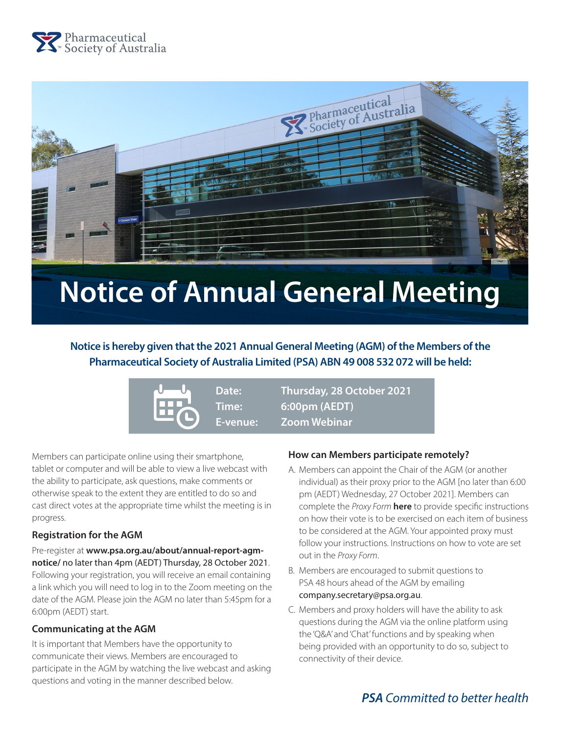



# **Notice of Annual General Meeting**

# **Notice is hereby given that the 2021 Annual General Meeting (AGM) of the Members of the Pharmaceutical Society of Australia Limited (PSA) ABN 49 008 532 072 will be held:**



**Date: Thursday, 28 October 2021 Time: 6:00pm (AEDT) E-venue: Zoom Webinar**

Members can participate online using their smartphone, tablet or computer and will be able to view a live webcast with the ability to participate, ask questions, make comments or otherwise speak to the extent they are entitled to do so and cast direct votes at the appropriate time whilst the meeting is in progress.

#### **Registration for the AGM**

Pre-register at **[www.psa.org.au/about/annual-report-agm](https://zoom.us/webinar/register/WN_RETtbOutSlSByIaIGsp2bQ)[notice/](https://zoom.us/webinar/register/WN_RETtbOutSlSByIaIGsp2bQ)** no later than 4pm (AEDT) Thursday, 28 October 2021. Following your registration, you will receive an email containing a link which you will need to log in to the Zoom meeting on the date of the AGM. Please join the AGM no later than 5:45pm for a 6:00pm (AEDT) start.

#### **Communicating at the AGM**

It is important that Members have the opportunity to communicate their views. Members are encouraged to participate in the AGM by watching the live webcast and asking questions and voting in the manner described below.

#### **How can Members participate remotely?**

- A. Members can appoint the Chair of the AGM (or another individual) as their proxy prior to the AGM [no later than 6:00 pm (AEDT) Wednesday, 27 October 2021]. Members can complete the *Proxy Form* **[here](https://www.psa.org.au/wp-content/uploads/2021/09/2021-AGM-Proxy-form.docx)** to provide specific instructions on how their vote is to be exercised on each item of business to be considered at the AGM. Your appointed proxy must follow your instructions. Instructions on how to vote are set out in the *Proxy Form*.
- B. Members are encouraged to submit questions to PSA 48 hours ahead of the AGM by emailing [company.secretary@psa.org.au](mailto:company.secretary%40psa.org.au?subject=Questions%20_%20AGM).
- C. Members and proxy holders will have the ability to ask questions during the AGM via the online platform using the 'Q&A' and 'Chat' functions and by speaking when being provided with an opportunity to do so, subject to connectivity of their device.

# *PSA Committed to better health*